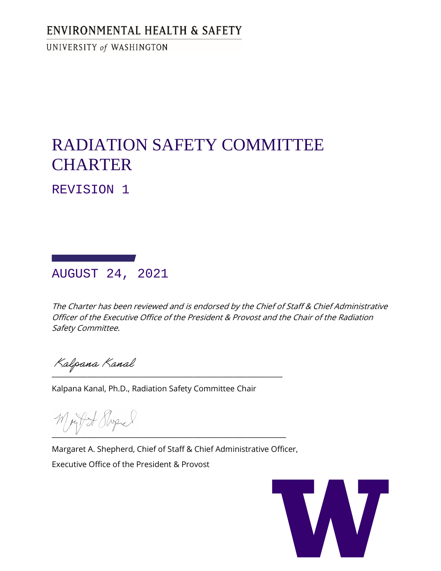# ENVIRONMENTAL HEALTH & SAFETY

UNIVERSITY of WASHINGTON

# RADIATION SAFETY COMMITTEE **CHARTER**

REVISION 1

AUGUST 24, 2021

The Charter has been reviewed and is endorsed by the Chief of Staff & Chief Administrative Officer of the Executive Office of the President & Provost and the Chair of the Radiation Safety Committee.

 $\overline{\phantom{a}}$  ,  $\overline{\phantom{a}}$  ,  $\overline{\phantom{a}}$  ,  $\overline{\phantom{a}}$  ,  $\overline{\phantom{a}}$  ,  $\overline{\phantom{a}}$  ,  $\overline{\phantom{a}}$  ,  $\overline{\phantom{a}}$  ,  $\overline{\phantom{a}}$  ,  $\overline{\phantom{a}}$  ,  $\overline{\phantom{a}}$  ,  $\overline{\phantom{a}}$  ,  $\overline{\phantom{a}}$  ,  $\overline{\phantom{a}}$  ,  $\overline{\phantom{a}}$  ,  $\overline{\phantom{a}}$ 

Kalpana Kanal, Ph.D., Radiation Safety Committee Chair

\_\_\_\_\_\_\_\_\_\_\_\_\_\_\_\_\_\_\_\_\_\_\_\_\_\_\_\_\_\_\_\_\_\_\_\_\_\_\_\_\_\_\_\_\_\_\_\_\_\_\_\_\_\_\_\_\_\_\_\_\_\_\_\_\_\_

Margaret A. Shepherd, Chief of Staff & Chief Administrative Officer, Executive Office of the President & Provost

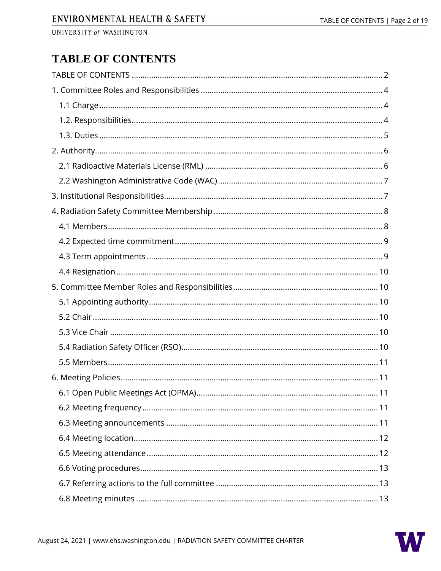# <span id="page-1-0"></span>**TABLE OF CONTENTS**

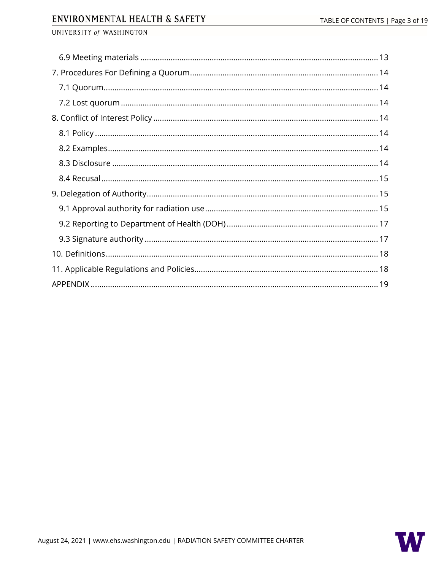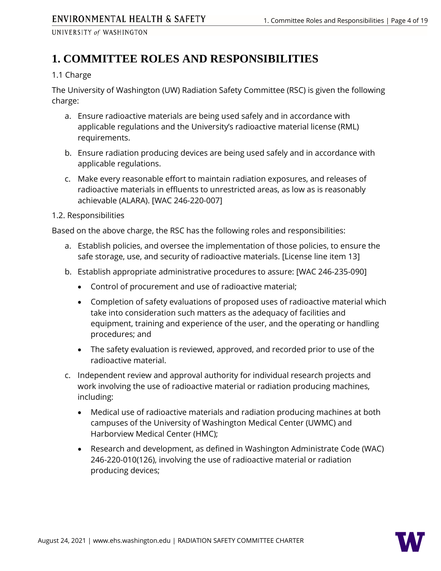# <span id="page-3-0"></span>**1. COMMITTEE ROLES AND RESPONSIBILITIES**

# <span id="page-3-1"></span>1.1 Charge

The University of Washington (UW) Radiation Safety Committee (RSC) is given the following charge:

- a. Ensure radioactive materials are being used safely and in accordance with applicable regulations and the University's radioactive material license (RML) requirements.
- b. Ensure radiation producing devices are being used safely and in accordance with applicable regulations.
- c. Make every reasonable effort to maintain radiation exposures, and releases of radioactive materials in effluents to unrestricted areas, as low as is reasonably achievable (ALARA). [\[WAC 246-220-007\]](http://apps.leg.wa.gov/WAC/default.aspx?cite=246-220-007)

# <span id="page-3-2"></span>1.2. Responsibilities

Based on the above charge, the RSC has the following roles and responsibilities:

- a. Establish policies, and oversee the implementation of those policies, to ensure the safe storage, use, and security of radioactive materials. [License line item 13]
- b. Establish appropriate administrative procedures to assure: [\[WAC 246-235-090\]](https://apps.leg.wa.gov/wac/default.aspx?cite=246-235-090)
	- Control of procurement and use of radioactive material;
	- Completion of safety evaluations of proposed uses of radioactive material which take into consideration such matters as the adequacy of facilities and equipment, training and experience of the user, and the operating or handling procedures; and
	- The safety evaluation is reviewed, approved, and recorded prior to use of the radioactive material.
- c. Independent review and approval authority for individual research projects and work involving the use of radioactive material or radiation producing machines, including:
	- Medical use of radioactive materials and radiation producing machines at both campuses of the University of Washington Medical Center (UWMC) and Harborview Medical Center (HMC);
	- Research and development, as defined in Washington Administrate Code (WAC) [246-220-010\(126\),](http://apps.leg.wa.gov/wac/default.aspx?cite=246-220-010) involving the use of radioactive material or radiation producing devices;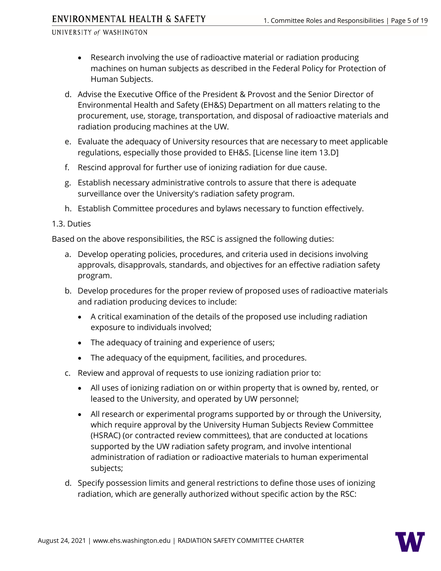- Research involving the use of radioactive material or radiation producing machines on human subjects as described in the Federal Policy for Protection of Human Subjects.
- d. Advise the Executive Office of the President & Provost and the Senior Director of Environmental Health and Safety (EH&S) Department on all matters relating to the procurement, use, storage, transportation, and disposal of radioactive materials and radiation producing machines at the UW.
- e. Evaluate the adequacy of University resources that are necessary to meet applicable regulations, especially those provided to EH&S. [License line item 13.D]
- f. Rescind approval for further use of ionizing radiation for due cause.
- g. Establish necessary administrative controls to assure that there is adequate surveillance over the University's radiation safety program.
- h. Establish Committee procedures and bylaws necessary to function effectively.

# <span id="page-4-0"></span>1.3. Duties

Based on the above responsibilities, the RSC is assigned the following duties:

- a. Develop operating policies, procedures, and criteria used in decisions involving approvals, disapprovals, standards, and objectives for an effective radiation safety program.
- b. Develop procedures for the proper review of proposed uses of radioactive materials and radiation producing devices to include:
	- A critical examination of the details of the proposed use including radiation exposure to individuals involved;
	- The adequacy of training and experience of users;
	- The adequacy of the equipment, facilities, and procedures.
- c. Review and approval of requests to use ionizing radiation prior to:
	- All uses of ionizing radiation on or within property that is owned by, rented, or leased to the University, and operated by UW personnel;
	- All research or experimental programs supported by or through the University, which require approval by the University Human Subjects Review Committee (HSRAC) (or contracted review committees), that are conducted at locations supported by the UW radiation safety program, and involve intentional administration of radiation or radioactive materials to human experimental subjects;
- d. Specify possession limits and general restrictions to define those uses of ionizing radiation, which are generally authorized without specific action by the RSC:

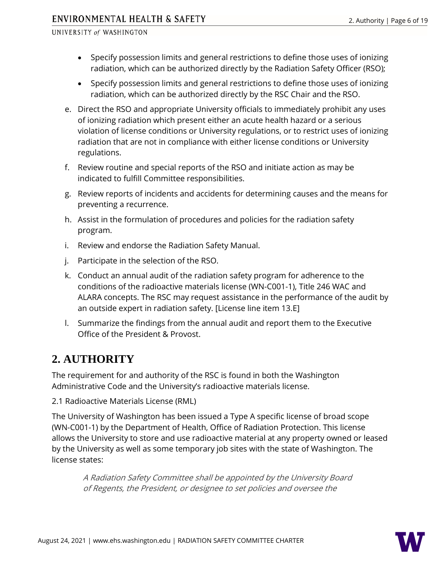- Specify possession limits and general restrictions to define those uses of ionizing radiation, which can be authorized directly by the Radiation Safety Officer (RSO);
- Specify possession limits and general restrictions to define those uses of ionizing radiation, which can be authorized directly by the RSC Chair and the RSO.
- e. Direct the RSO and appropriate University officials to immediately prohibit any uses of ionizing radiation which present either an acute health hazard or a serious violation of license conditions or University regulations, or to restrict uses of ionizing radiation that are not in compliance with either license conditions or University regulations.
- f. Review routine and special reports of the RSO and initiate action as may be indicated to fulfill Committee responsibilities.
- g. Review reports of incidents and accidents for determining causes and the means for preventing a recurrence.
- h. Assist in the formulation of procedures and policies for the radiation safety program.
- i. Review and endorse the Radiation Safety Manual.
- j. Participate in the selection of the RSO.
- k. Conduct an annual audit of the radiation safety program for adherence to the conditions of the radioactive materials license (WN-C001-1), Title 246 WAC and ALARA concepts. The RSC may request assistance in the performance of the audit by an outside expert in radiation safety. [License line item 13.E]
- l. Summarize the findings from the annual audit and report them to the Executive Office of the President & Provost.

# <span id="page-5-0"></span>**2. AUTHORITY**

The requirement for and authority of the RSC is found in both the Washington Administrative Code and the University's radioactive materials license.

<span id="page-5-1"></span>2.1 Radioactive Materials License (RML)

The University of Washington has been issued a Type A specific license of broad scope (WN-C001-1) by the Department of Health, Office of Radiation Protection. This license allows the University to store and use radioactive material at any property owned or leased by the University as well as some temporary job sites with the state of Washington. The license states:

A Radiation Safety Committee shall be appointed by the University Board of Regents, the President, or designee to set policies and oversee the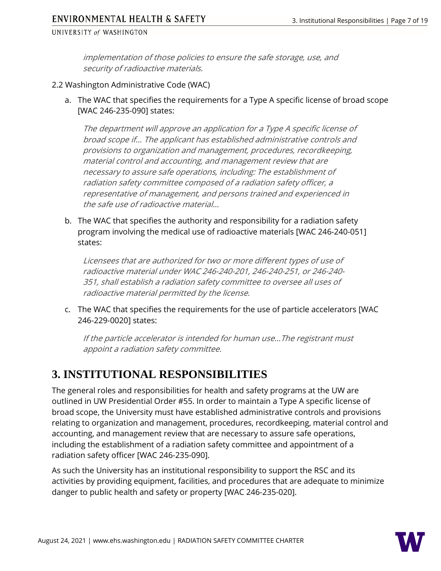implementation of those policies to ensure the safe storage, use, and security of radioactive materials.

### <span id="page-6-0"></span>2.2 Washington Administrative Code (WAC)

a. The WAC that specifies the requirements for a Type A specific license of broad scope [\[WAC 246-235-090\]](https://app.leg.wa.gov/wac/default.aspx?cite=246-235-090) states:

The department will approve an application for a Type A specific license of broad scope if… The applicant has established administrative controls and provisions to organization and management, procedures, recordkeeping, material control and accounting, and management review that are necessary to assure safe operations, including: The establishment of radiation safety committee composed of a radiation safety officer, a representative of management, and persons trained and experienced in the safe use of radioactive material…

b. The WAC that specifies the authority and responsibility for a radiation safety program involving the medical use of radioactive materials [\[WAC 246-240-051\]](https://app.leg.wa.gov/wac/default.aspx?cite=246-240-051) states:

Licensees that are authorized for two or more different types of use of radioactive material under WA[C 246-240-201,](https://app.leg.wa.gov/wac/default.aspx?cite=246-240-201) [246-240-251,](https://app.leg.wa.gov/wac/default.aspx?cite=246-240-251) o[r 246-240-](https://app.leg.wa.gov/wac/default.aspx?cite=246-240-351) [351,](https://app.leg.wa.gov/wac/default.aspx?cite=246-240-351) shall establish a radiation safety committee to oversee all uses of radioactive material permitted by the license.

c. The WAC that specifies the requirements for the use of particle accelerators [\[WAC](https://apps.leg.wa.gov/WAC/default.aspx?cite=246-229-0020)  [246-229-0020\]](https://apps.leg.wa.gov/WAC/default.aspx?cite=246-229-0020) states:

If the particle accelerator is intended for human use…The registrant must appoint a radiation safety committee.

# <span id="page-6-1"></span>**3. INSTITUTIONAL RESPONSIBILITIES**

The general roles and responsibilities for health and safety programs at the UW are outlined in [UW Presidential Order #55.](http://www.washington.edu/admin/rules/policies/PO/EO55.html) In order to maintain a Type A specific license of broad scope, the University must have established administrative controls and provisions relating to organization and management, procedures, recordkeeping, material control and accounting, and management review that are necessary to assure safe operations, including the establishment of a radiation safety committee and appointment of a radiation safety officer [\[WAC 246-235-090\]](https://apps.leg.wa.gov/wac/default.aspx?cite=246-235-090).

As such the University has an institutional responsibility to support the RSC and its activities by providing equipment, facilities, and procedures that are adequate to minimize danger to public health and safety or property [\[WAC 246-235-020\]](http://apps.leg.wa.gov/WAC/default.aspx?cite=246-235-020).

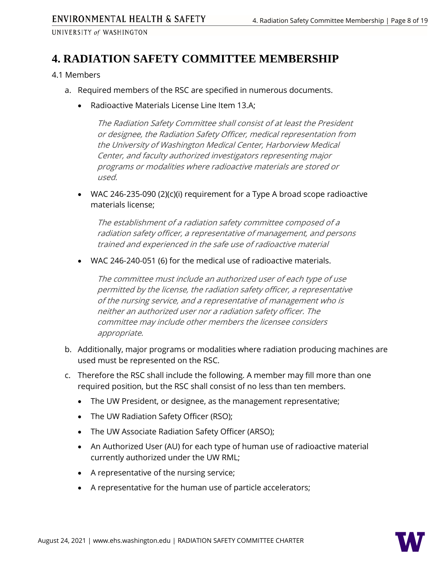# <span id="page-7-0"></span>**4. RADIATION SAFETY COMMITTEE MEMBERSHIP**

### <span id="page-7-1"></span>4.1 Members

- a. Required members of the RSC are specified in numerous documents.
	- Radioactive Materials License Line Item 13.A;

The Radiation Safety Committee shall consist of at least the President or designee, the Radiation Safety Officer, medical representation from the University of Washington Medical Center, Harborview Medical Center, and faculty authorized investigators representing major programs or modalities where radioactive materials are stored or used.

• [WAC 246-235-090 \(2\)\(c\)\(i\)](https://app.leg.wa.gov/wac/default.aspx?cite=246-235-090) requirement for a Type A broad scope radioactive materials license;

The establishment of a radiation safety committee composed of a radiation safety officer, a representative of management, and persons trained and experienced in the safe use of radioactive material

• [WAC 246-240-051 \(6\)](https://app.leg.wa.gov/wac/default.aspx?cite=246-240-051) for the medical use of radioactive materials.

The committee must include an authorized user of each type of use permitted by the license, the radiation safety officer, a representative of the nursing service, and a representative of management who is neither an authorized user nor a radiation safety officer. The committee may include other members the licensee considers appropriate.

- b. Additionally, major programs or modalities where radiation producing machines are used must be represented on the RSC.
- c. Therefore the RSC shall include the following. A member may fill more than one required position, but the RSC shall consist of no less than ten members.
	- The UW President, or designee, as the management representative;
	- The UW Radiation Safety Officer (RSO);
	- The UW Associate Radiation Safety Officer (ARSO);
	- An Authorized User (AU) for each type of human use of radioactive material currently authorized under the UW RML;
	- A representative of the nursing service;
	- A representative for the human use of particle accelerators;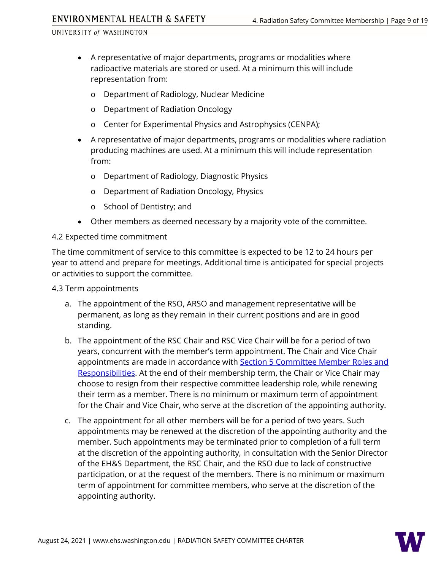- A representative of major departments, programs or modalities where radioactive materials are stored or used. At a minimum this will include representation from:
	- o Department of Radiology, Nuclear Medicine
	- o Department of Radiation Oncology
	- o Center for Experimental Physics and Astrophysics (CENPA);
- A representative of major departments, programs or modalities where radiation producing machines are used. At a minimum this will include representation from:
	- o Department of Radiology, Diagnostic Physics
	- o Department of Radiation Oncology, Physics
	- o School of Dentistry; and
- Other members as deemed necessary by a majority vote of the committee.

### <span id="page-8-0"></span>4.2 Expected time commitment

The time commitment of service to this committee is expected to be 12 to 24 hours per year to attend and prepare for meetings. Additional time is anticipated for special projects or activities to support the committee.

<span id="page-8-1"></span>4.3 Term appointments

- a. The appointment of the RSO, ARSO and management representative will be permanent, as long as they remain in their current positions and are in good standing.
- b. The appointment of the RSC Chair and RSC Vice Chair will be for a period of two years, concurrent with the member's term appointment. The Chair and Vice Chair appointments are made in accordance with **Section 5 Committee Member Roles and** [Responsibilities.](#page-9-1) At the end of their membership term, the Chair or Vice Chair may choose to resign from their respective committee leadership role, while renewing their term as a member. There is no minimum or maximum term of appointment for the Chair and Vice Chair, who serve at the discretion of the appointing authority.
- c. The appointment for all other members will be for a period of two years. Such appointments may be renewed at the discretion of the appointing authority and the member. Such appointments may be terminated prior to completion of a full term at the discretion of the appointing authority, in consultation with the Senior Director of the EH&S Department, the RSC Chair, and the RSO due to lack of constructive participation, or at the request of the members. There is no minimum or maximum term of appointment for committee members, who serve at the discretion of the appointing authority.

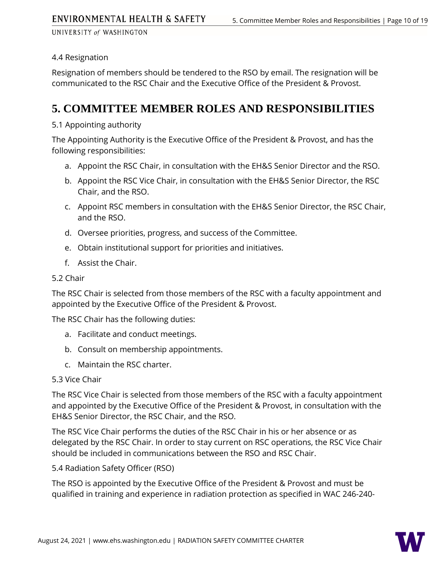# <span id="page-9-0"></span>4.4 Resignation

Resignation of members should be tendered to the RSO by email. The resignation will be communicated to the RSC Chair and the Executive Office of the President & Provost.

# <span id="page-9-1"></span>**5. COMMITTEE MEMBER ROLES AND RESPONSIBILITIES**

# <span id="page-9-2"></span>5.1 Appointing authority

The Appointing Authority is the Executive Office of the President & Provost, and has the following responsibilities:

- a. Appoint the RSC Chair, in consultation with the EH&S Senior Director and the RSO.
- b. Appoint the RSC Vice Chair, in consultation with the EH&S Senior Director, the RSC Chair, and the RSO.
- c. Appoint RSC members in consultation with the EH&S Senior Director, the RSC Chair, and the RSO.
- d. Oversee priorities, progress, and success of the Committee.
- e. Obtain institutional support for priorities and initiatives.
- f. Assist the Chair.

# <span id="page-9-3"></span>5.2 Chair

The RSC Chair is selected from those members of the RSC with a faculty appointment and appointed by the Executive Office of the President & Provost.

The RSC Chair has the following duties:

- a. Facilitate and conduct meetings.
- b. Consult on membership appointments.
- c. Maintain the RSC charter.

# <span id="page-9-4"></span>5.3 Vice Chair

The RSC Vice Chair is selected from those members of the RSC with a faculty appointment and appointed by the Executive Office of the President & Provost, in consultation with the EH&S Senior Director, the RSC Chair, and the RSO.

The RSC Vice Chair performs the duties of the RSC Chair in his or her absence or as delegated by the RSC Chair. In order to stay current on RSC operations, the RSC Vice Chair should be included in communications between the RSO and RSC Chair.

<span id="page-9-5"></span>5.4 Radiation Safety Officer (RSO)

The RSO is appointed by the Executive Office of the President & Provost and must be qualified in training and experience in radiation protection as specified in [WAC 246-240-](https://apps.leg.wa.gov/wac/default.aspx?cite=246-240-069)

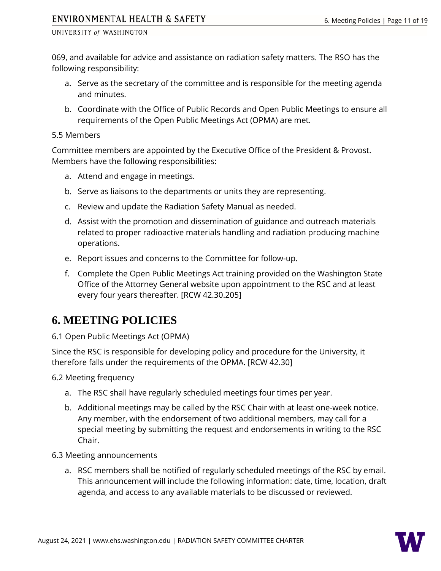[069,](https://apps.leg.wa.gov/wac/default.aspx?cite=246-240-069) and available for advice and assistance on radiation safety matters. The RSO has the following responsibility:

- a. Serve as the secretary of the committee and is responsible for the meeting agenda and minutes.
- b. Coordinate with the Office of Public Records and Open Public Meetings to ensure all requirements of the Open Public Meetings Act (OPMA) are met.

#### <span id="page-10-0"></span>5.5 Members

Committee members are appointed by the Executive Office of the President & Provost. Members have the following responsibilities:

- a. Attend and engage in meetings.
- b. Serve as liaisons to the departments or units they are representing.
- c. Review and update the Radiation Safety Manual as needed.
- d. Assist with the promotion and dissemination of guidance and outreach materials related to proper radioactive materials handling and radiation producing machine operations.
- e. Report issues and concerns to the Committee for follow-up.
- f. Complete the Open Public Meetings Act training provided on the Washington State Office of the Attorney General [website](http://www.atg.wa.gov/open-government-training) upon appointment to the RSC and at least every four years thereafter. [\[RCW 42.30.205\]](http://app.leg.wa.gov/RCW/default.aspx?cite=42.30.205)

# <span id="page-10-1"></span>**6. MEETING POLICIES**

# <span id="page-10-2"></span>6.1 Open Public Meetings Act (OPMA)

Since the RSC is responsible for developing policy and procedure for the University, it therefore falls under the requirements of the OPMA. [\[RCW 42.30\]](http://apps.leg.wa.gov/rcw/default.aspx?cite=42.30)

<span id="page-10-3"></span>6.2 Meeting frequency

- a. The RSC shall have regularly scheduled meetings four times per year.
- b. Additional meetings may be called by the RSC Chair with at least one-week notice. Any member, with the endorsement of two additional members, may call for a special meeting by submitting the request and endorsements in writing to the RSC Chair.
- <span id="page-10-4"></span>6.3 Meeting announcements
	- a. RSC members shall be notified of regularly scheduled meetings of the RSC by email. This announcement will include the following information: date, time, location, draft agenda, and access to any available materials to be discussed or reviewed.

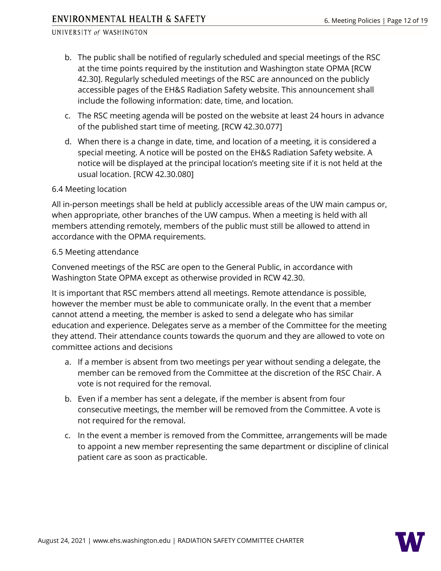- b. The public shall be notified of regularly scheduled and special meetings of the RSC at the time points required by the institution and Washington state OPMA [\[RCW](http://apps.leg.wa.gov/rcw/default.aspx?cite=42.30)  [42.30\]](http://apps.leg.wa.gov/rcw/default.aspx?cite=42.30). Regularly scheduled meetings of the RSC are announced on the publicly accessible pages of the [EH&S Radiation Safety website.](https://www.ehs.washington.edu/radiation/radiation-safety-committee) This announcement shall include the following information: date, time, and location.
- c. The RSC meeting agenda will be posted on the website at least 24 hours in advance of the published start time of meeting. [\[RCW 42.30.077\]](http://app.leg.wa.gov/RCW/default.aspx?cite=42.30.077)
- d. When there is a change in date, time, and location of a meeting, it is considered a special meeting. A notice will be posted on the EH&S Radiation Safety website. A notice will be displayed at the principal location's meeting site if it is not held at the usual location. [\[RCW 42.30.080\]](http://app.leg.wa.gov/RCW/default.aspx?cite=42.30.080)

#### <span id="page-11-0"></span>6.4 Meeting location

All in-person meetings shall be held at publicly accessible areas of the UW main campus or, when appropriate, other branches of the UW campus. When a meeting is held with all members attending remotely, members of the public must still be allowed to attend in accordance with the OPMA requirements.

### <span id="page-11-1"></span>6.5 Meeting attendance

Convened meetings of the RSC are open to the General Public, in accordance with Washington State OPMA except as otherwise provided in [RCW 42.30.](http://apps.leg.wa.gov/rcw/default.aspx?cite=42.30)

It is important that RSC members attend all meetings. Remote attendance is possible, however the member must be able to communicate orally. In the event that a member cannot attend a meeting, the member is asked to send a delegate who has similar education and experience. Delegates serve as a member of the Committee for the meeting they attend. Their attendance counts towards the quorum and they are allowed to vote on committee actions and decisions

- a. If a member is absent from two meetings per year without sending a delegate, the member can be removed from the Committee at the discretion of the RSC Chair. A vote is not required for the removal.
- b. Even if a member has sent a delegate, if the member is absent from four consecutive meetings, the member will be removed from the Committee. A vote is not required for the removal.
- <span id="page-11-2"></span>c. In the event a member is removed from the Committee, arrangements will be made to appoint a new member representing the same department or discipline of clinical patient care as soon as practicable.

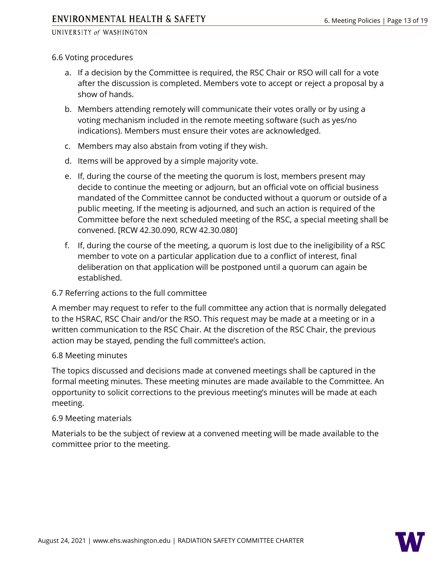### 6.6 Voting procedures

- a. If a decision by the Committee is required, the RSC Chair or RSO will call for a vote after the discussion is completed. Members vote to accept or reject a proposal by a show of hands.
- b. Members attending remotely will communicate their votes orally or by using a voting mechanism included in the remote meeting software (such as yes/no indications). Members must ensure their votes are acknowledged.
- c. Members may also abstain from voting if they wish.
- d. Items will be approved by a simple majority vote.
- e. If, during the course of the meeting the quorum is lost, members present may decide to continue the meeting or adjourn, but an official vote on official business mandated of the Committee cannot be conducted without a quorum or outside of a public meeting. If the meeting is adjourned, and such an action is required of the Committee before the next scheduled meeting of the RSC, a special meeting shall be convened. [\[RCW 42.30.090,](https://app.leg.wa.gov/RCW/default.aspx?cite=42.30.090) [RCW 42.30.080\]](https://app.leg.wa.gov/RCW/default.aspx?cite=42.30.080)
- f. If, during the course of the meeting, a quorum is lost due to the ineligibility of a RSC member to vote on a particular application due to a conflict of interest, final deliberation on that application will be postponed until a quorum can again be established.

# <span id="page-12-0"></span>6.7 Referring actions to the full committee

A member may request to refer to the full committee any action that is normally delegated to the HSRAC, RSC Chair and/or the RSO. This request may be made at a meeting or in a written communication to the RSC Chair. At the discretion of the RSC Chair, the previous action may be stayed, pending the full committee's action.

#### <span id="page-12-1"></span>6.8 Meeting minutes

The topics discussed and decisions made at convened meetings shall be captured in the formal meeting minutes. These meeting minutes are made available to the Committee. An opportunity to solicit corrections to the previous meeting's minutes will be made at each meeting.

#### <span id="page-12-2"></span>6.9 Meeting materials

<span id="page-12-3"></span>Materials to be the subject of review at a convened meeting will be made available to the committee prior to the meeting.

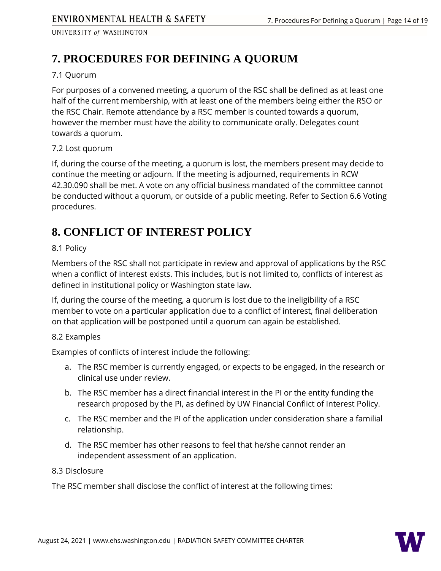# **7. PROCEDURES FOR DEFINING A QUORUM**

# <span id="page-13-0"></span>7.1 Quorum

For purposes of a convened meeting, a quorum of the RSC shall be defined as at least one half of the current membership, with at least one of the members being either the RSO or the RSC Chair. Remote attendance by a RSC member is counted towards a quorum, however the member must have the ability to communicate orally. Delegates count towards a quorum.

# <span id="page-13-1"></span>7.2 Lost quorum

If, during the course of the meeting, a quorum is lost, the members present may decide to continue the meeting or adjourn. If the meeting is adjourned, requirements in [RCW](https://app.leg.wa.gov/RCW/default.aspx?cite=42.30.090)  [42.30.090](https://app.leg.wa.gov/RCW/default.aspx?cite=42.30.090) shall be met. A vote on any official business mandated of the committee cannot be conducted without a quorum, or outside of a public meeting. Refer to [Section 6.6 Voting](#page-11-2)  [procedures.](#page-11-2)

# <span id="page-13-2"></span>**8. CONFLICT OF INTEREST POLICY**

# <span id="page-13-3"></span>8.1 Policy

Members of the RSC shall not participate in review and approval of applications by the RSC when a conflict of interest exists. This includes, but is not limited to, conflicts of interest as defined in institutional policy or Washington state law.

If, during the course of the meeting, a quorum is lost due to the ineligibility of a RSC member to vote on a particular application due to a conflict of interest, final deliberation on that application will be postponed until a quorum can again be established.

# <span id="page-13-4"></span>8.2 Examples

Examples of conflicts of interest include the following:

- a. The RSC member is currently engaged, or expects to be engaged, in the research or clinical use under review.
- b. The RSC member has a direct financial interest in the PI or the entity funding the research proposed by the PI, as defined by UW Financial Conflict of Interest Policy.
- c. The RSC member and the PI of the application under consideration share a familial relationship.
- d. The RSC member has other reasons to feel that he/she cannot render an independent assessment of an application.

# <span id="page-13-5"></span>8.3 Disclosure

The RSC member shall disclose the conflict of interest at the following times:

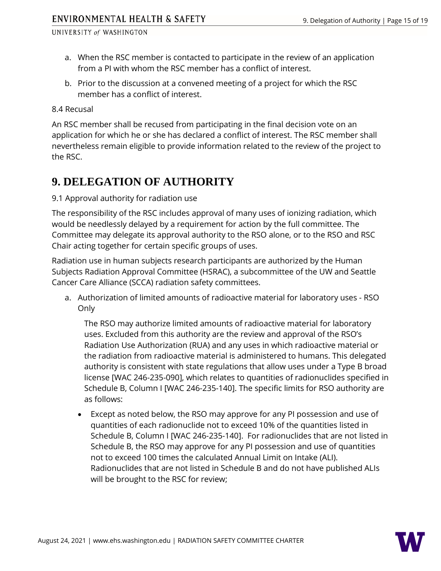- a. When the RSC member is contacted to participate in the review of an application from a PI with whom the RSC member has a conflict of interest.
- b. Prior to the discussion at a convened meeting of a project for which the RSC member has a conflict of interest.

<span id="page-14-0"></span>8.4 Recusal

An RSC member shall be recused from participating in the final decision vote on an application for which he or she has declared a conflict of interest. The RSC member shall nevertheless remain eligible to provide information related to the review of the project to the RSC.

# <span id="page-14-1"></span>**9. DELEGATION OF AUTHORITY**

<span id="page-14-2"></span>9.1 Approval authority for radiation use

The responsibility of the RSC includes approval of many uses of ionizing radiation, which would be needlessly delayed by a requirement for action by the full committee. The Committee may delegate its approval authority to the RSO alone, or to the RSO and RSC Chair acting together for certain specific groups of uses.

Radiation use in human subjects research participants are authorized by the Human Subjects Radiation Approval Committee (HSRAC), a subcommittee of the UW and Seattle Cancer Care Alliance (SCCA) radiation safety committees.

a. Authorization of limited amounts of radioactive material for laboratory uses - RSO Only

The RSO may authorize limited amounts of radioactive material for laboratory uses. Excluded from this authority are the review and approval of the RSO's Radiation Use Authorization (RUA) and any uses in which radioactive material or the radiation from radioactive material is administered to humans. This delegated authority is consistent with state regulations that allow uses under a Type B broad license [\[WAC 246-235-090\]](https://app.leg.wa.gov/wac/default.aspx?cite=246-235-090), which relates to quantities of radionuclides specified in Schedule B, Column I [\[WAC 246-235-140\]](https://apps.leg.wa.gov/wac/default.aspx?cite=246-235-140). The specific limits for RSO authority are as follows:

• Except as noted below, the RSO may approve for any PI possession and use of quantities of each radionuclide not to exceed 10% of the quantities listed in Schedule B, Column I [\[WAC 246-235-140\]](https://apps.leg.wa.gov/wac/default.aspx?cite=246-235-140). For radionuclides that are not listed in Schedule B, the RSO may approve for any PI possession and use of quantities not to exceed 100 times the calculated Annual Limit on Intake (ALI). Radionuclides that are not listed in Schedule B and do not have published ALIs will be brought to the RSC for review;

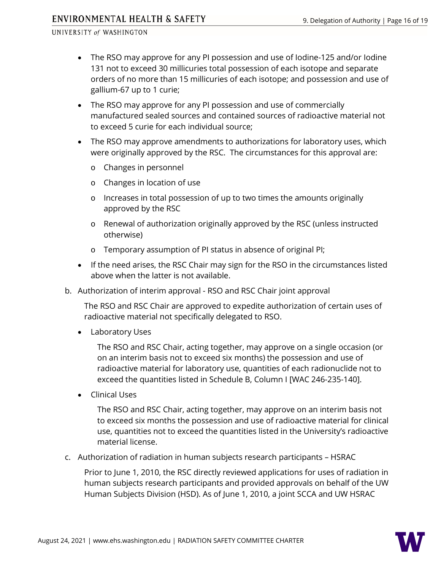# ENVIRONMENTAL HEALTH & SAFETY

#### UNIVERSITY of WASHINGTON

- The RSO may approve for any PI possession and use of Iodine-125 and/or Iodine 131 not to exceed 30 millicuries total possession of each isotope and separate orders of no more than 15 millicuries of each isotope; and possession and use of gallium-67 up to 1 curie;
- The RSO may approve for any PI possession and use of commercially manufactured sealed sources and contained sources of radioactive material not to exceed 5 curie for each individual source;
- The RSO may approve amendments to authorizations for laboratory uses, which were originally approved by the RSC. The circumstances for this approval are:
	- o Changes in personnel
	- o Changes in location of use
	- o Increases in total possession of up to two times the amounts originally approved by the RSC
	- o Renewal of authorization originally approved by the RSC (unless instructed otherwise)
	- o Temporary assumption of PI status in absence of original PI;
- If the need arises, the RSC Chair may sign for the RSO in the circumstances listed above when the latter is not available.
- b. Authorization of interim approval RSO and RSC Chair joint approval

The RSO and RSC Chair are approved to expedite authorization of certain uses of radioactive material not specifically delegated to RSO.

• Laboratory Uses

The RSO and RSC Chair, acting together, may approve on a single occasion (or on an interim basis not to exceed six months) the possession and use of radioactive material for laboratory use, quantities of each radionuclide not to exceed the quantities listed in Schedule B, Column I [\[WAC 246-235-140\]](https://apps.leg.wa.gov/wac/default.aspx?cite=246-235-140).

• Clinical Uses

The RSO and RSC Chair, acting together, may approve on an interim basis not to exceed six months the possession and use of radioactive material for clinical use, quantities not to exceed the quantities listed in the University's radioactive material license.

c. Authorization of radiation in human subjects research participants – HSRAC

Prior to June 1, 2010, the RSC directly reviewed applications for uses of radiation in human subjects research participants and provided approvals on behalf of the UW Human Subjects Division (HSD). As of June 1, 2010, a joint SCCA and UW HSRAC

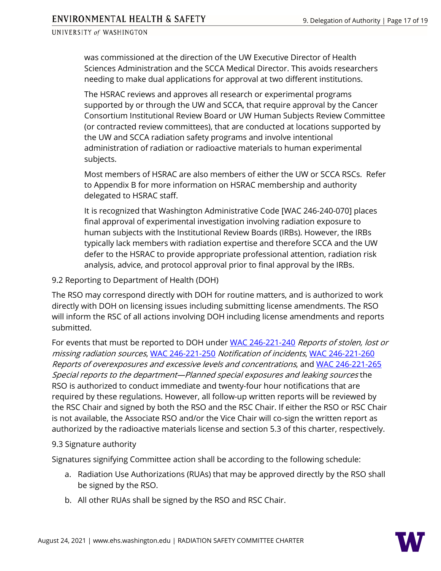was commissioned at the direction of the UW Executive Director of Health Sciences Administration and the SCCA Medical Director. This avoids researchers needing to make dual applications for approval at two different institutions.

The HSRAC reviews and approves all research or experimental programs supported by or through the UW and SCCA, that require approval by the Cancer Consortium Institutional Review Board or UW Human Subjects Review Committee (or contracted review committees), that are conducted at locations supported by the UW and SCCA radiation safety programs and involve intentional administration of radiation or radioactive materials to human experimental subjects.

Most members of HSRAC are also members of either the UW or SCCA RSCs. Refer to Appendix B for more information on HSRAC membership and authority delegated to HSRAC staff.

It is recognized that Washington Administrative Code [\[WAC 246-240-070\]](https://app.leg.wa.gov/WAC/default.aspx?cite=246-240-007) places final approval of experimental investigation involving radiation exposure to human subjects with the Institutional Review Boards (IRBs). However, the IRBs typically lack members with radiation expertise and therefore SCCA and the UW defer to the HSRAC to provide appropriate professional attention, radiation risk analysis, advice, and protocol approval prior to final approval by the IRBs.

<span id="page-16-0"></span>9.2 Reporting to Department of Health (DOH)

The RSO may correspond directly with DOH for routine matters, and is authorized to work directly with DOH on licensing issues including submitting license amendments. The RSO will inform the RSC of all actions involving DOH including license amendments and reports submitted.

For events that must be reported to DOH under [WAC 246-221-240](https://apps.leg.wa.gov/wac/default.aspx?cite=246-221-240) Reports of stolen, lost or missing radiation sources, [WAC 246-221-250](https://apps.leg.wa.gov/wac/default.aspx?cite=246-221-250) Notification of incidents, [WAC 246-221-260](https://apps.leg.wa.gov/wac/default.aspx?cite=246-221-260) Reports of overexposures and excessive levels and concentrations, and [WAC 246-221-265](https://apps.leg.wa.gov/wac/default.aspx?cite=246-221-265) Special reports to the department—Planned special exposures and leaking sources the RSO is authorized to conduct immediate and twenty-four hour notifications that are required by these regulations. However, all follow-up written reports will be reviewed by the RSC Chair and signed by both the RSO and the RSC Chair. If either the RSO or RSC Chair is not available, the Associate RSO and/or the Vice Chair will co-sign the written report as authorized by the radioactive materials license and section 5.3 of this charter, respectively.

# <span id="page-16-1"></span>9.3 Signature authority

Signatures signifying Committee action shall be according to the following schedule:

- a. Radiation Use Authorizations (RUAs) that may be approved directly by the RSO shall be signed by the RSO.
- b. All other RUAs shall be signed by the RSO and RSC Chair.

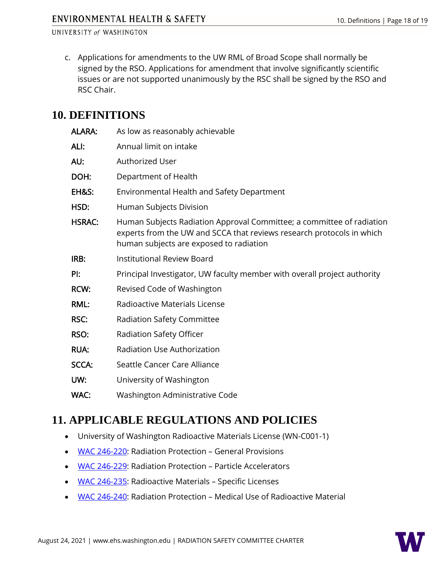c. Applications for amendments to the UW RML of Broad Scope shall normally be signed by the RSO. Applications for amendment that involve significantly scientific issues or are not supported unanimously by the RSC shall be signed by the RSO and RSC Chair.

# <span id="page-17-0"></span>**10. DEFINITIONS**

| <b>ALARA:</b>    | As low as reasonably achievable                                                                                                                                                           |
|------------------|-------------------------------------------------------------------------------------------------------------------------------------------------------------------------------------------|
| ALI:             | Annual limit on intake                                                                                                                                                                    |
| AU:              | <b>Authorized User</b>                                                                                                                                                                    |
| DOH:             | Department of Health                                                                                                                                                                      |
| <b>EH&amp;S:</b> | Environmental Health and Safety Department                                                                                                                                                |
| HSD:             | Human Subjects Division                                                                                                                                                                   |
| <b>HSRAC:</b>    | Human Subjects Radiation Approval Committee; a committee of radiation<br>experts from the UW and SCCA that reviews research protocols in which<br>human subjects are exposed to radiation |
| IRB:             | <b>Institutional Review Board</b>                                                                                                                                                         |
| Pi:              | Principal Investigator, UW faculty member with overall project authority                                                                                                                  |
| <b>RCW:</b>      | Revised Code of Washington                                                                                                                                                                |
| <b>RML:</b>      | Radioactive Materials License                                                                                                                                                             |
| <b>RSC:</b>      | Radiation Safety Committee                                                                                                                                                                |
| RSO:             | Radiation Safety Officer                                                                                                                                                                  |
| <b>RUA:</b>      | Radiation Use Authorization                                                                                                                                                               |
| <b>SCCA:</b>     | Seattle Cancer Care Alliance                                                                                                                                                              |
| UW:              | University of Washington                                                                                                                                                                  |
| WAC:             | Washington Administrative Code                                                                                                                                                            |
|                  |                                                                                                                                                                                           |

# <span id="page-17-1"></span>**11. APPLICABLE REGULATIONS AND POLICIES**

- University of Washington Radioactive Materials License (WN-C001-1)
- [WAC 246-220:](https://apps.leg.wa.gov/WAC/default.aspx?cite=246-220) Radiation Protection General Provisions
- [WAC 246-229:](https://apps.leg.wa.gov/WAC/default.aspx?cite=246-229) Radiation Protection Particle Accelerators
- [WAC 246-235:](https://apps.leg.wa.gov/WAC/default.aspx?cite=246-235) Radioactive Materials Specific Licenses
- [WAC 246-240:](https://app.leg.wa.gov/WAC/default.aspx?cite=246-240) Radiation Protection Medical Use of Radioactive Material